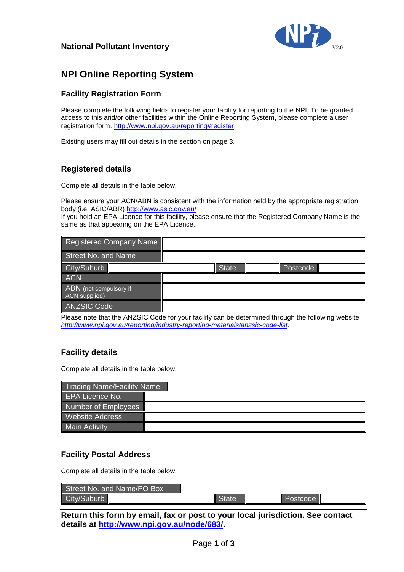

# **NPI Online Reporting System**

#### **Facility Registration Form**

Please complete the following fields to register your facility for reporting to the NPI. To be granted access to this and/or other facilities within the Online Reporting System, please complete a user registration form. <http://www.npi.gov.au/reporting#register>

Existing users may fill out details in the section on page 3.

#### **Registered details**

Complete all details in the table below.

Please ensure your ACN/ABN is consistent with the information held by the appropriate registration body (i.e. ASIC/ABR) <http://www.asic.gov.au/>

If you hold an EPA Licence for this facility, please ensure that the Registered Company Name is the same as that appearing on the EPA Licence.

| Registered Company Name                 |              |          |  |
|-----------------------------------------|--------------|----------|--|
| Street No. and Name                     |              |          |  |
| City/Suburb                             | <b>State</b> | Postcode |  |
| <b>ACN</b>                              |              |          |  |
| ABN (not compulsory if<br>ACN supplied) |              |          |  |
| ANZSIC Code                             |              |          |  |

Please note that the ANZSIC Code for your facility can be determined through the following website *[http://www.npi.gov.au/reporting/industry-reporting-materials/anzsic-code-list.](http://www.npi.gov.au/reporting/industry-reporting-materials/anzsic-code-list)* 

#### **Facility details**

Complete all details in the table below.

| <b>Trading Name/Facility Name</b> |  |
|-----------------------------------|--|
| EPA Licence No.                   |  |
| Number of Employees               |  |
| <b>Website Address</b>            |  |
| Main Activity                     |  |

#### **Facility Postal Address**

Complete all details in the table below.

| Street No. and Name/PO Box |              |                 |  |
|----------------------------|--------------|-----------------|--|
| City/Suburb                | <b>State</b> | <b>Postcode</b> |  |

**Return this form by email, fax or post to your local jurisdiction. See contact details at [http://www.npi.gov.au/node/683/.](http://www.npi.gov.au/node/683/)**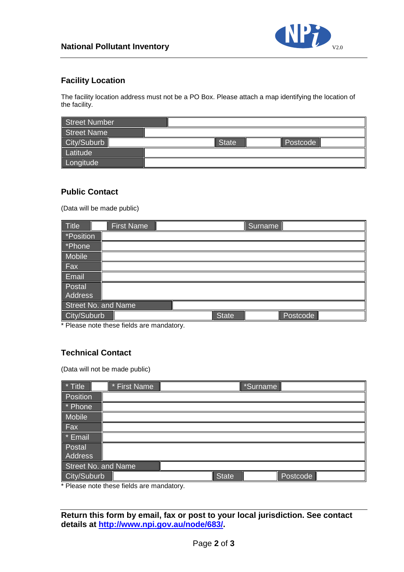

### **Facility Location**

The facility location address must not be a PO Box. Please attach a map identifying the location of the facility.

| Street Number |       |          |
|---------------|-------|----------|
| Street Name   |       |          |
| City/Suburb   | State | Postcode |
| Latitude      |       |          |
| Longitude     |       |          |

#### **Public Contact**

(Data will be made public)

| Title               | <b>First Name</b> |              | Surname |          |  |
|---------------------|-------------------|--------------|---------|----------|--|
| *Position           |                   |              |         |          |  |
| *Phone              |                   |              |         |          |  |
| Mobile              |                   |              |         |          |  |
| $ $ Fax             |                   |              |         |          |  |
| Email               |                   |              |         |          |  |
| Postal              |                   |              |         |          |  |
| Address             |                   |              |         |          |  |
| Street No. and Name |                   |              |         |          |  |
| City/Suburb         |                   | <b>State</b> |         | Postcode |  |

\* Please note these fields are mandatory.

# **Technical Contact**

(Data will not be made public)

| * Title                    | * First Name |              | *Surname |          |  |
|----------------------------|--------------|--------------|----------|----------|--|
| Position                   |              |              |          |          |  |
| * Phone                    |              |              |          |          |  |
| Mobile                     |              |              |          |          |  |
| Fax                        |              |              |          |          |  |
| * Email                    |              |              |          |          |  |
| Postal                     |              |              |          |          |  |
| <b>Address</b>             |              |              |          |          |  |
| <b>Street No. and Name</b> |              |              |          |          |  |
| City/Suburb                |              | <b>State</b> |          | Postcode |  |

\* Please note these fields are mandatory.

**Return this form by email, fax or post to your local jurisdiction. See contact details at [http://www.npi.gov.au/node/683/.](http://www.npi.gov.au/node/683/)**